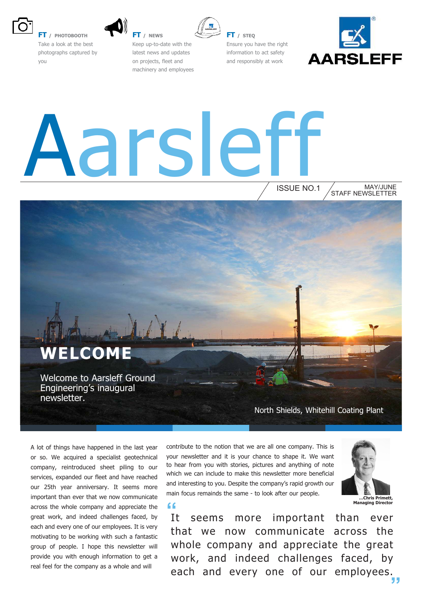

**FT / PHOTOBOOTH** Take a look at the best photographs captured by you



**FT / NEWS** Keep up-to-date with the latest news and updates on projects, fleet and machinery and employees

**FT / STEQ** Ensure you have the right information to act safety and responsibly at work



# ars

**"**

ISSUE NO.1 STAFF NEWSLETTER MAY/JUNE

### **ELCOME**

Welcome to Aarsleff Ground Engineering's inaugural newsletter.

North Shields, Whitehill Coating Plant

A lot of things have happened in the last year or so. We acquired a specialist geotechnical company, reintroduced sheet piling to our services, expanded our fleet and have reached our 25th year anniversary. It seems more important than ever that we now communicate across the whole company and appreciate the great work, and indeed challenges faced, by each and every one of our employees. It is very motivating to be working with such a fantastic group of people. I hope this newsletter will provide you with enough information to get a real feel for the company as a whole and will

contribute to the notion that we are all one company. This is your newsletter and it is your chance to shape it. We want to hear from you with stories, pictures and anything of note which we can include to make this newsletter more beneficial and interesting to you. Despite the company's rapid growth our main focus remainds the same - to look after our people.



**…Chris Primett, Managing Director** 

It seems more important than ever that we now communicate across the whole company and appreciate the great work, and indeed challenges faced, by each and every one of our employees.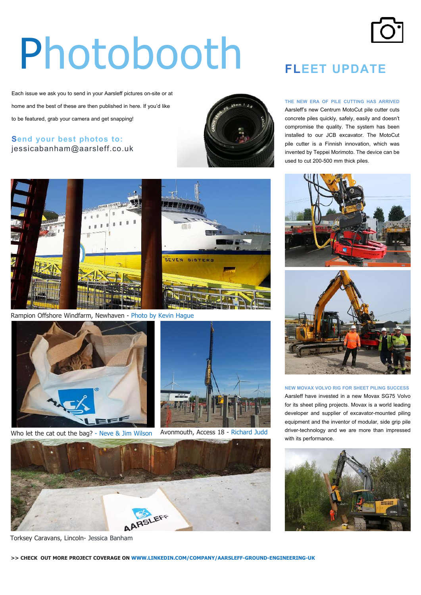# Photobooth

Each issue we ask you to send in your Aarsleff pictures on-site or at home and the best of these are then published in here. If you'd like to be featured, grab your camera and get snapping!

#### **Send your best photos to:** jessicabanham@aarsleff.co.uk





Rampion Offshore Windfarm, Newhaven - Photo by Kevin Hague



Who let the cat out the bag? - Neve & Jim Wilson Avonmouth, Access 18 - Richard Judd





Torksey Caravans, Lincoln- Jessica Banham



**THE NEW ERA OF PILE CUTTING HAS ARRIVED**  Aarsleff's new Centrum MotoCut pile cutter cuts concrete piles quickly, safely, easily and doesn't compromise the quality. The system has been installed to our JCB excavator. The MotoCut pile cutter is a Finnish innovation, which was invented by Teppei Morimoto. The device can be used to cut 200-500 mm thick piles.





**NEW MOVAX VOLVO RIG FOR SHEET PILING SUCCESS** Aarsleff have invested in a new Movax SG75 Volvo for its sheet piling projects. Movax is a world leading developer and supplier of excavator-mounted piling equipment and the inventor of modular, side grip pile driver-technology and we are more than impressed with its performance.

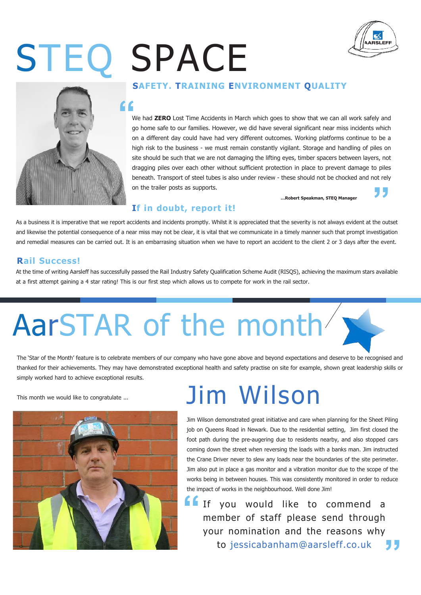# STEQ SPACE





#### **SAFETY. TRAINING ENVIRONMENT QUALITY**

We had **ZERO** Lost Time Accidents in March which goes to show that we can all work safely and go home safe to our families. However, we did have several significant near miss incidents which on a different day could have had very different outcomes. Working platforms continue to be a high risk to the business - we must remain constantly vigilant. Storage and handling of piles on site should be such that we are not damaging the lifting eyes, timber spacers between layers, not dragging piles over each other without sufficient protection in place to prevent damage to piles beneath. Transport of steel tubes is also under review - these should not be chocked and not rely on the trailer posts as supports. **"**

**…Robert Speakman, STEQ Manager**

#### **If in doubt, report it!**

As a business it is imperative that we report accidents and incidents promptly. Whilst it is appreciated that the severity is not always evident at the outset and likewise the potential consequence of a near miss may not be clear, it is vital that we communicate in a timely manner such that prompt investigation and remedial measures can be carried out. It is an embarrasing situation when we have to report an accident to the client 2 or 3 days after the event.

#### **Rail Success!**

At the time of writing Aarsleff has successfully passed the Rail Industry Safety Qualification Scheme Audit (RISQS), achieving the maximum stars available at a first attempt gaining a 4 star rating! This is our first step which allows us to compete for work in the rail sector.

## AarSTAR of the month

The 'Star of the Month' feature is to celebrate members of our company who have gone above and beyond expectations and deserve to be recognised and thanked for their achievements. They may have demonstrated exceptional health and safety practise on site for example, shown great leadership skills or simply worked hard to achieve exceptional results.

This month we would like to congratulate ...



### Jim Wilson

Jim Wilson demonstrated great initiative and care when planning for the Sheet Piling job on Queens Road in Newark. Due to the residential setting, Jim first closed the foot path during the pre-augering due to residents nearby, and also stopped cars coming down the street when reversing the loads with a banks man. Jim instructed the Crane Driver never to slew any loads near the boundaries of the site perimeter. Jim also put in place a gas monitor and a vibration monitor due to the scope of the works being in between houses. This was consistently monitored in order to reduce the impact of works in the neighbourhood. Well done Jim!

If you would like to commend a member of staff please send through your nomination and the reasons why to jessicabanham@aarsleff.co.uk **" "**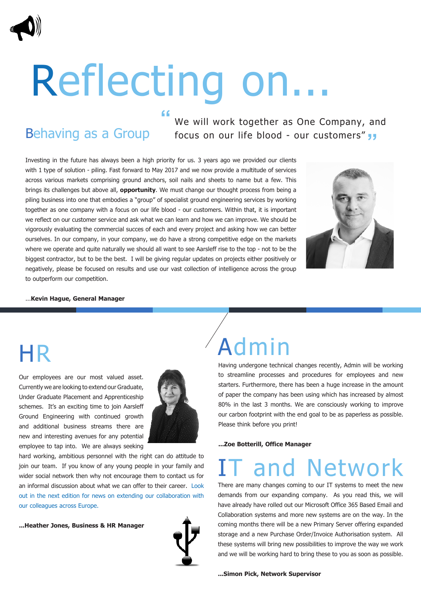# Reflecting on...

**"**

### Behaving as a Group

We will work together as One Company, and focus on our life blood - our customers" **"**

Investing in the future has always been a high priority for us. 3 years ago we provided our clients with 1 type of solution - piling. Fast forward to May 2017 and we now provide a multitude of services across various markets comprising ground anchors, soil nails and sheets to name but a few. This brings its challenges but above all, **opportunity**. We must change our thought process from being a piling business into one that embodies a "group" of specialist ground engineering services by working together as one company with a focus on our life blood - our customers. Within that, it is important we reflect on our customer service and ask what we can learn and how we can improve. We should be vigorously evaluating the commercial succes of each and every project and asking how we can better ourselves. In our company, in your company, we do have a strong competitive edge on the markets where we operate and quite naturally we should all want to see Aarsleff rise to the top - not to be the biggest contractor, but to be the best. I will be giving regular updates on projects either positively or negatively, please be focused on results and use our vast collection of intelligence across the group to outperform our competition.



#### ...**Kevin Hague, General Manager**

### HR

Our employees are our most valued asset. Currently we are looking to extend our Graduate, Under Graduate Placement and Apprenticeship schemes. It's an exciting time to join Aarsleff Ground Engineering with continued growth and additional business streams there are new and interesting avenues for any potential employee to tap into. We are always seeking



hard working, ambitious personnel with the right can do attitude to join our team. If you know of any young people in your family and wider social network then why not encourage them to contact us for an informal discussion about what we can offer to their career. Look out in the next edition for news on extending our collaboration with our colleagues across Europe.

**...Heather Jones, Business & HR Manager** 



### Admin

Having undergone technical changes recently, Admin will be working to streamline processes and procedures for employees and new starters. Furthermore, there has been a huge increase in the amount of paper the company has been using which has increased by almost 80% in the last 3 months. We are consciously working to improve our carbon footprint with the end goal to be as paperless as possible. Please think before you print!

**...Zoe Botterill, Office Manager** 

### and Network

There are many changes coming to our IT systems to meet the new demands from our expanding company. As you read this, we will have already have rolled out our Microsoft Office 365 Based Email and Collaboration systems and more new systems are on the way. In the coming months there will be a new Primary Server offering expanded storage and a new Purchase Order/Invoice Authorisation system. All these systems will bring new possibilities to improve the way we work and we will be working hard to bring these to you as soon as possible.

**...Simon Pick, Network Supervisor**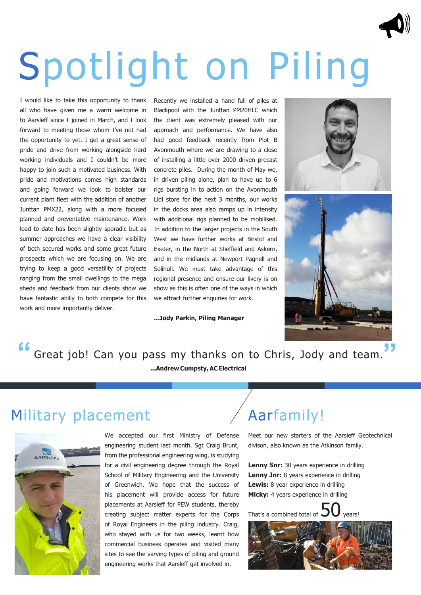# Spotlight on Piling

I would like to take this opportunity to thank all who have given me a warm welcome in to Aarsleff since I joined in March, and I look forward to meeting those whom I've not had the opportunity to yet. I get a great sense of pride and drive from working alongside hard working individuals and I couldn't be more happy to join such a motivated business. With pride and motivations comes high standards and going forward we look to bolster our current plant fleet with the addition of another Junttan PMX22, along with a more focused planned and preventative maintenance. Work load to date has been slightly sporadic but as summer approaches we have a clear visibility of both secured works and some great future prospects which we are focusing on. We are trying to keep a good versatility of projects ranging from the small dwellings to the mega sheds and feedback from our clients show we have fantastic abiliy to both compete for this work and more importantly deliver.

Recently we installed a hand full of piles at Blackpool with the Junttan PM20HLC which the client was extremely pleased with our approach and performance. We have also had good feedback recently from Plot B Avonmouth where we are drawing to a close of installing a little over 2000 driven precast concrete piles. During the month of May we, in driven piling alone, plan to have up to 6 rigs bursting in to action on the Avonmouth Lidl store for the next 3 months, our works in the docks area also ramps up in intensity with additional rigs planned to be mobilised. In addition to the larger projects in the South West we have further works at Bristol and Exeter, in the North at Sheffield and Askern, and in the midlands at Newport Pagnell and Solihull. We must take advantage of this regional presence and ensure our livery is on show as this is often one of the ways in which we attract further enquiries for work.

**...Jody Parkin, Piling Manager** 





**"** Great job! Can you pass my thanks on to Chris, Jody and team. **...Andrew Cumpsty, AC Electrical "**

#### Military placement



We accepted our first Ministry of Defense engineering student last month. Sgt Craig Brunt, from the professional engineering wing, is studying for a civil engineering degree through the Royal School of Military Engineering and the University of Greenwich. We hope that the success of his placement will provide access for future placements at Aarsleff for PEW students, thereby creating subject matter experts for the Corps of Royal Engineers in the piling industry. Craig, who stayed with us for two weeks, learnt how commercial business operates and visited many sites to see the varying types of piling and ground engineering works that Aarsleff get involved in.

### Aarfamily!

Meet our new starters of the Aarsleff Geotechnical divison, also known as the Atkinson family.

**Lenny Snr:** 30 years experience in drilling **Lenny Jnr:** 8 years experience in drilling **Lewis:** 8 year experience in drilling **Micky:** 4 years experience in drilling